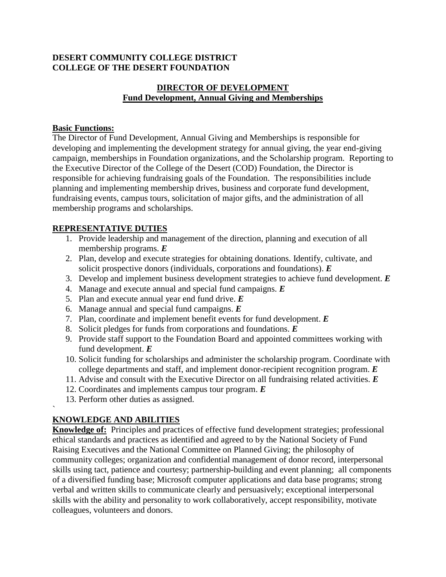## **DESERT COMMUNITY COLLEGE DISTRICT COLLEGE OF THE DESERT FOUNDATION**

## **DIRECTOR OF DEVELOPMENT Fund Development, Annual Giving and Memberships**

## **Basic Functions:**

The Director of Fund Development, Annual Giving and Memberships is responsible for developing and implementing the development strategy for annual giving, the year end-giving campaign, memberships in Foundation organizations, and the Scholarship program. Reporting to the Executive Director of the College of the Desert (COD) Foundation, the Director is responsible for achieving fundraising goals of the Foundation. The responsibilities include planning and implementing membership drives, business and corporate fund development, fundraising events, campus tours, solicitation of major gifts, and the administration of all membership programs and scholarships.

# **REPRESENTATIVE DUTIES**

- 1. Provide leadership and management of the direction, planning and execution of all membership programs. *E*
- 2. Plan, develop and execute strategies for obtaining donations. Identify, cultivate, and solicit prospective donors (individuals, corporations and foundations). *E*
- 3. Develop and implement business development strategies to achieve fund development. *E*
- 4. Manage and execute annual and special fund campaigns. *E*
- 5. Plan and execute annual year end fund drive. *E*
- 6. Manage annual and special fund campaigns. *E*
- 7. Plan, coordinate and implement benefit events for fund development. *E*
- 8. Solicit pledges for funds from corporations and foundations. *E*
- 9. Provide staff support to the Foundation Board and appointed committees working with fund development. *E*
- 10. Solicit funding for scholarships and administer the scholarship program. Coordinate with college departments and staff, and implement donor-recipient recognition program. *E*
- 11. Advise and consult with the Executive Director on all fundraising related activities. *E*
- 12. Coordinates and implements campus tour program. *E*
- 13. Perform other duties as assigned.

#### ` **KNOWLEDGE AND ABILITIES**

**Knowledge of:** Principles and practices of effective fund development strategies; professional ethical standards and practices as identified and agreed to by the National Society of Fund Raising Executives and the National Committee on Planned Giving; the philosophy of community colleges; organization and confidential management of donor record, interpersonal skills using tact, patience and courtesy; partnership-building and event planning; all components of a diversified funding base; Microsoft computer applications and data base programs; strong verbal and written skills to communicate clearly and persuasively; exceptional interpersonal skills with the ability and personality to work collaboratively, accept responsibility, motivate colleagues, volunteers and donors.